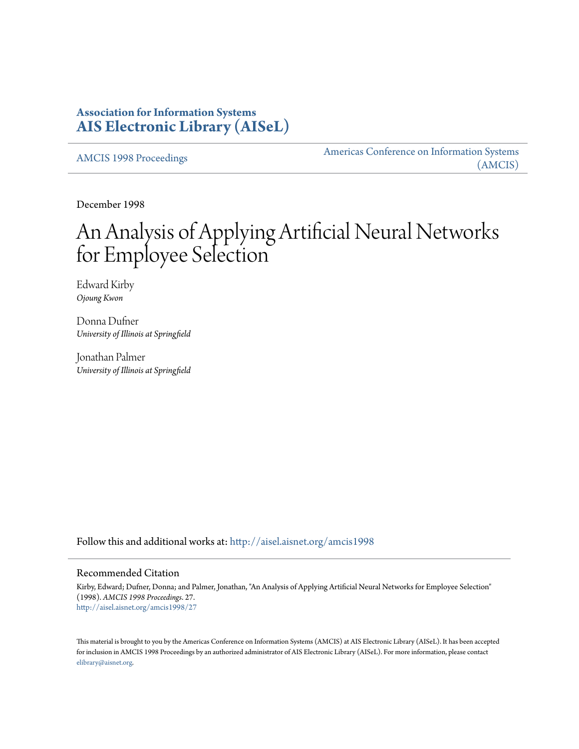# **Association for Information Systems [AIS Electronic Library \(AISeL\)](http://aisel.aisnet.org?utm_source=aisel.aisnet.org%2Famcis1998%2F27&utm_medium=PDF&utm_campaign=PDFCoverPages)**

[AMCIS 1998 Proceedings](http://aisel.aisnet.org/amcis1998?utm_source=aisel.aisnet.org%2Famcis1998%2F27&utm_medium=PDF&utm_campaign=PDFCoverPages)

[Americas Conference on Information Systems](http://aisel.aisnet.org/amcis?utm_source=aisel.aisnet.org%2Famcis1998%2F27&utm_medium=PDF&utm_campaign=PDFCoverPages) [\(AMCIS\)](http://aisel.aisnet.org/amcis?utm_source=aisel.aisnet.org%2Famcis1998%2F27&utm_medium=PDF&utm_campaign=PDFCoverPages)

December 1998

# An Analysis of Applying Artificial Neural Networks for Employee Selection

Edward Kirby *Ojoung Kwon*

Donna Dufner *University of Illinois at Springfield*

Jonathan Palmer *University of Illinois at Springfield*

Follow this and additional works at: [http://aisel.aisnet.org/amcis1998](http://aisel.aisnet.org/amcis1998?utm_source=aisel.aisnet.org%2Famcis1998%2F27&utm_medium=PDF&utm_campaign=PDFCoverPages)

# Recommended Citation

Kirby, Edward; Dufner, Donna; and Palmer, Jonathan, "An Analysis of Applying Artificial Neural Networks for Employee Selection" (1998). *AMCIS 1998 Proceedings*. 27. [http://aisel.aisnet.org/amcis1998/27](http://aisel.aisnet.org/amcis1998/27?utm_source=aisel.aisnet.org%2Famcis1998%2F27&utm_medium=PDF&utm_campaign=PDFCoverPages)

This material is brought to you by the Americas Conference on Information Systems (AMCIS) at AIS Electronic Library (AISeL). It has been accepted for inclusion in AMCIS 1998 Proceedings by an authorized administrator of AIS Electronic Library (AISeL). For more information, please contact [elibrary@aisnet.org.](mailto:elibrary@aisnet.org%3E)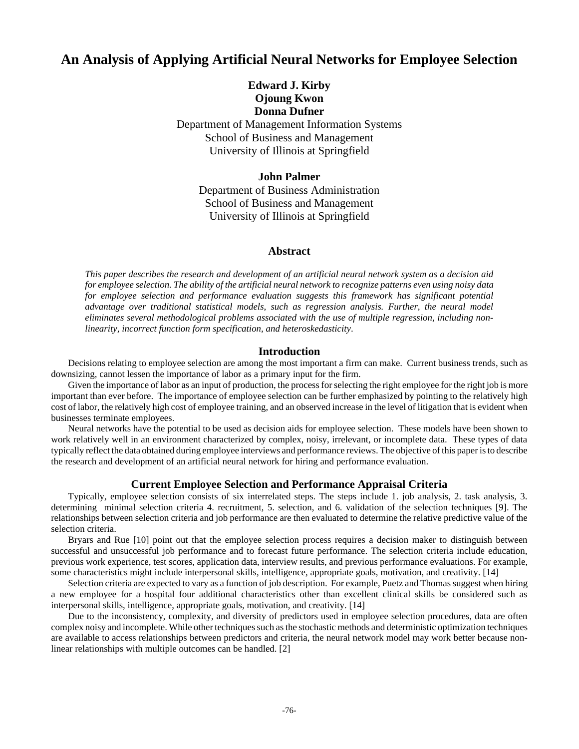# **An Analysis of Applying Artificial Neural Networks for Employee Selection**

**Edward J. Kirby Ojoung Kwon Donna Dufner**

Department of Management Information Systems School of Business and Management University of Illinois at Springfield

# **John Palmer**

Department of Business Administration School of Business and Management University of Illinois at Springfield

# **Abstract**

*This paper describes the research and development of an artificial neural network system as a decision aid for employee selection. The ability of the artificial neural network to recognize patterns even using noisy data for employee selection and performance evaluation suggests this framework has significant potential advantage over traditional statistical models, such as regression analysis. Further, the neural model eliminates several methodological problems associated with the use of multiple regression, including nonlinearity, incorrect function form specification, and heteroskedasticity*.

#### **Introduction**

Decisions relating to employee selection are among the most important a firm can make. Current business trends, such as downsizing, cannot lessen the importance of labor as a primary input for the firm.

Given the importance of labor as an input of production, the process for selecting the right employee for the right job is more important than ever before. The importance of employee selection can be further emphasized by pointing to the relatively high cost of labor, the relatively high cost of employee training, and an observed increase in the level of litigation that is evident when businesses terminate employees.

Neural networks have the potential to be used as decision aids for employee selection. These models have been shown to work relatively well in an environment characterized by complex, noisy, irrelevant, or incomplete data. These types of data typically reflect the data obtained during employee interviews and performance reviews. The objective of this paper is to describe the research and development of an artificial neural network for hiring and performance evaluation.

### **Current Employee Selection and Performance Appraisal Criteria**

Typically, employee selection consists of six interrelated steps. The steps include 1. job analysis, 2. task analysis, 3. determining minimal selection criteria 4. recruitment, 5. selection, and 6. validation of the selection techniques [9]. The relationships between selection criteria and job performance are then evaluated to determine the relative predictive value of the selection criteria.

Bryars and Rue [10] point out that the employee selection process requires a decision maker to distinguish between successful and unsuccessful job performance and to forecast future performance. The selection criteria include education, previous work experience, test scores, application data, interview results, and previous performance evaluations. For example, some characteristics might include interpersonal skills, intelligence, appropriate goals, motivation, and creativity. [14]

Selection criteria are expected to vary as a function of job description. For example, Puetz and Thomas suggest when hiring a new employee for a hospital four additional characteristics other than excellent clinical skills be considered such as interpersonal skills, intelligence, appropriate goals, motivation, and creativity. [14]

Due to the inconsistency, complexity, and diversity of predictors used in employee selection procedures, data are often complex noisy and incomplete. While other techniques such as the stochastic methods and deterministic optimization techniques are available to access relationships between predictors and criteria, the neural network model may work better because nonlinear relationships with multiple outcomes can be handled. [2]